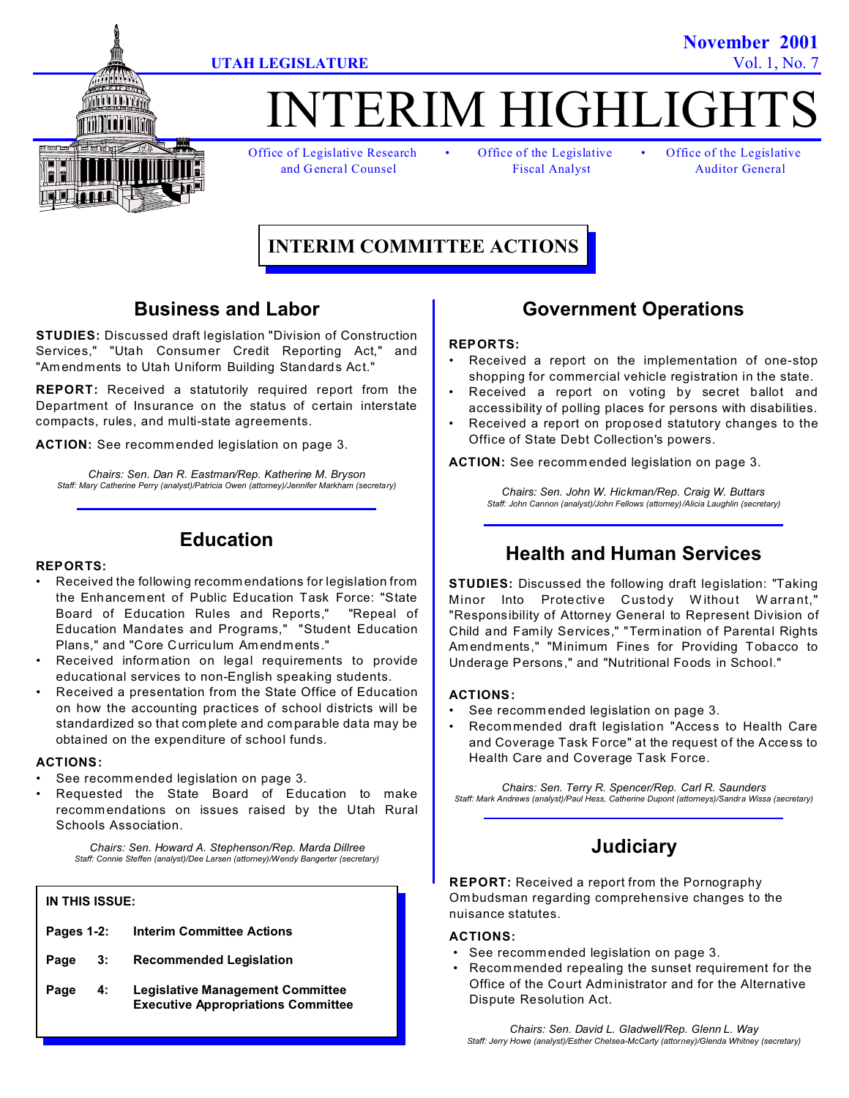



# TERIM HIGHLIGH

Office of Legislative Research • Office of the Legislative • Office of the Legislative

and General Counsel Fiscal Analyst Auditor General

# **INTERIM COMMITTEE ACTIONS**

### **Business and Labor**

**STUDIES:** Discussed draft legislation "Division of Construction Services," "Utah Consumer Credit Reporting Act," and "Am endments to Utah Uniform Building Standards Act."

**REPORT:** Received a statutorily required report from the Department of Insurance on the status of certain interstate compacts, rules, and multi-state agreements.

**ACTION:** See recommended legislation on page 3.

*Chairs: Sen. Dan R. Eastman/Rep. Katherine M. Bryson Staff: Mary Catherine Perry (analyst)/Patricia Owen (attorney)/Jennifer Markham (secretary)*

### **Education**

#### **REPORTS:**

- Received the following recomm endations for legislation from the Enhancement of Public Education Task Force: "State Board of Education Rules and Reports," "Repeal of Education Mandates and Programs," "Student Education Plans," and "Core Curriculum Am endments."
- Received information on legal requirements to provide educational services to non-English speaking students.
- Received a presentation from the State Office of Education on how the accounting practices of school districts will be standardized so that com plete and comparable data may be obtained on the expenditure of school funds.

#### **ACTIONS:**

- See recommended legislation on page 3.
- Requested the State Board of Education to make recomm endations on issues raised by the Utah Rural Schools Association.

*Chairs: Sen. Howard A. Stephenson/Rep. Marda Dillree Staff: Connie Steffen (analyst)/Dee Larsen (attorney)/Wendy Bangerter (secretary)*

### **IN THIS ISSUE:**

| Pages 1-2: | <b>Interim Committee Actions</b> |  |
|------------|----------------------------------|--|
|            |                                  |  |

- **Page 3: Recommended Legislation**
- **Page 4: Legislative Management Committee Executive Appropriations Committee**

### **Government Operations**

#### **REPORTS:**

- Received a report on the implementation of one-stop shopping for commercial vehicle registration in the state.
- Received a report on voting by secret ballot and accessibility of polling places for persons with disabilities.
- Received a report on proposed statutory changes to the Office of State Debt Collection's powers.

**ACTION:** See recommended legislation on page 3.

*Chairs: Sen. John W. Hickman/Rep. Craig W. Buttars Staff: John Cannon (analyst)/John Fellows (attorney)/Alicia Laughlin (secretary)*

### **Health and Human Services**

**STUDIES:** Discussed the following draft legislation: "Taking Minor Into Protective Custody Without Warrant,' "Responsibility of Attorney General to Represent Division of Child and Family Services," "Term ination of Parental Rights Am endments," "Minimum Fines for Providing Tobacco to Underage Persons," and "Nutritional Foods in School."

### **ACTIONS:**

- See recommended legislation on page 3.
- Recommended draft legislation "Access to Health Care and Coverage Task Force" at the request of the Access to Health Care and Coverage Task Force.

*Chairs: Sen. Terry R. Spencer/Rep. Carl R. Saunders Staff: Mark Andrews (analyst)/Paul Hess, Catherine Dupont (attorneys)/Sandra Wissa (secretary)*

### **Judiciary**

**REPORT:** Received a report from the Pornography Om budsman regarding comprehensive changes to the nuisance statutes.

#### **ACTIONS:**

- See recommended legislation on page 3.
- Recommended repealing the sunset requirement for the Office of the Court Administrator and for the Alternative Dispute Resolution Act.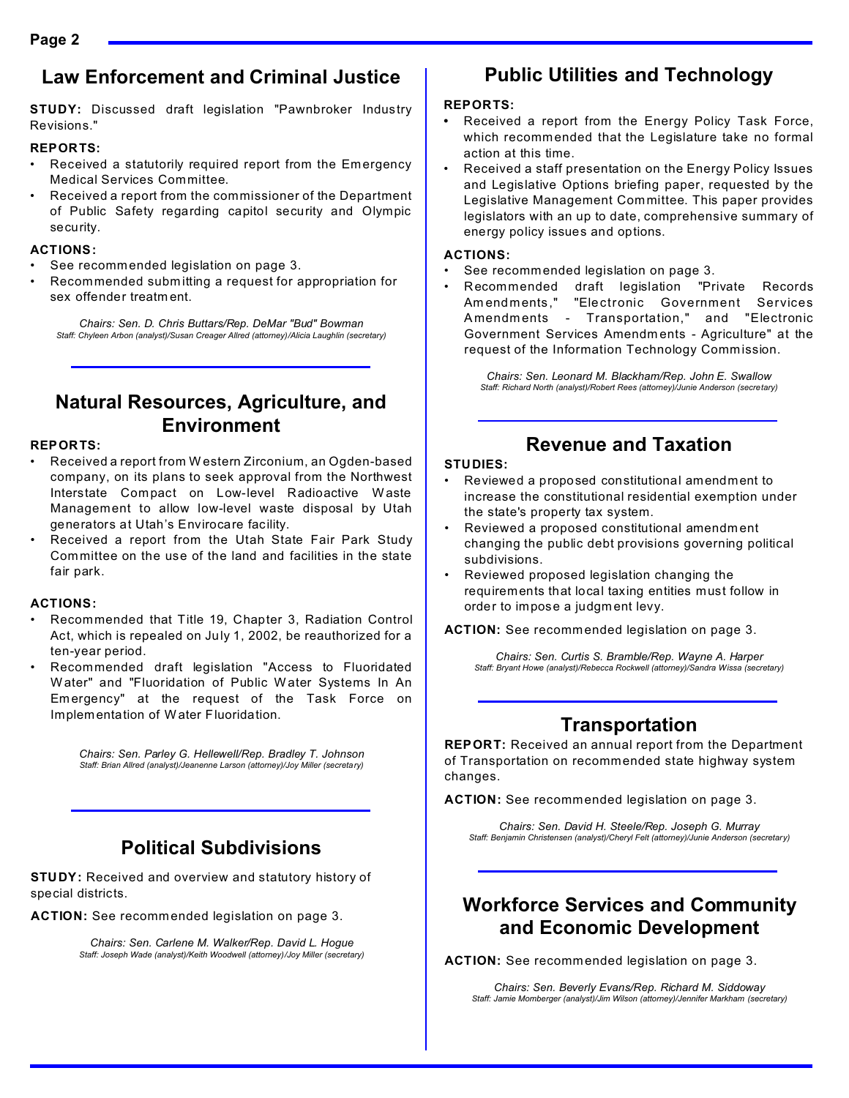### **Law Enforcement and Criminal Justice**

**STUDY:** Discussed draft legislation "Pawnbroker Industry Revisions."

### **REPORTS:**

- Received a statutorily required report from the Emergency Medical Services Committee.
- Received a report from the commissioner of the Department of Public Safety regarding capitol security and Olympic security.

### **ACTIONS:**

- See recommended legislation on page 3.
- Recommended subm itting a request for appropriation for sex offender treatm ent.

*Chairs: Sen. D. Chris Buttars/Rep. DeMar "Bud" Bowman Staff: Chyleen Arbon (analyst)/Susan Creager Allred (attorney)/Alicia Laughlin (secretary)*

### **Natural Resources, Agriculture, and Environment**

### **REPORTS:**

- Received a report from W estern Zirconium, an Ogden-based company, on its plans to seek approval from the Northwest Interstate Compact on Low-level Radioactive Waste Management to allow low-level waste disposal by Utah generators at Utah's Envirocare facility.
- Received a report from the Utah State Fair Park Study Committee on the use of the land and facilities in the state fair park.

### **ACTIONS:**

- Recommended that Title 19, Chapter 3, Radiation Control Act, which is repealed on July 1, 2002, be reauthorized for a ten-year period.
- Recommended draft legislation "Access to Fluoridated W ater" and "Fluoridation of Public W ater Systems In An Em ergency" at the request of the Task Force on Implem entation of W ater Fluoridation.

*Chairs: Sen. Parley G. Hellewell/Rep. Bradley T. Johnson Staff: Brian Allred (analyst)/Jeanenne Larson (attorney)/Joy Miller (secretary)*

# **Political Subdivisions**

**STUDY:** Received and overview and statutory history of special districts.

**ACTION:** See recommended legislation on page 3.

*Chairs: Sen. Carlene M. Walker/Rep. David L. Hogue Staff: Joseph Wade (analyst)/Keith Woodwell (attorney)/Joy Miller (secretary)*

# **Public Utilities and Technology**

### **REPORTS:**

- **•** Received a report from the Energy Policy Task Force, which recommended that the Legislature take no formal action at this time.
- Received a staff presentation on the Energy Policy Issues and Legislative Options briefing paper, requested by the Legislative Management Committee. This paper provides legislators with an up to date, comprehensive summary of energy policy issues and options.

### **ACTIONS:**

- See recommended legislation on page 3.
- Recommended draft legislation "Private Records Am endm ents ," "Electronic Government Services A mendm ents - Transportation," and "Electronic Government Services Amendm ents - Agriculture" at the request of the Information Technology Commission.

*Chairs: Sen. Leonard M. Blackham/Rep. John E. Swallow Staff: Richard North (analyst)/Robert Rees (attorney)/Junie Anderson (secretary)*

## **Revenue and Taxation**

### **STUDIES:**

- Reviewed a proposed constitutional amendment to increase the constitutional residential exemption under the state's property tax system.
- Reviewed a proposed constitutional amendm ent changing the public debt provisions governing political subdivisions.
- Reviewed proposed legislation changing the requirements that local taxing entities must follow in order to impose a judgm ent levy.

**ACTION:** See recommended legislation on page 3.

*Chairs: Sen. Curtis S. Bramble/Rep. Wayne A. Harper Staff: Bryant Howe (analyst)/Rebecca Rockwell (attorney)/Sandra Wissa (secretary)*

# **Transportation**

**REPORT:** Received an annual report from the Department of Transportation on recommended state highway system changes.

**ACTION:** See recommended legislation on page 3.

*Chairs: Sen. David H. Steele/Rep. Joseph G. Murray Staff: Benjamin Christensen (analyst)/Cheryl Felt (attorney)/Junie Anderson (secretary)*

### **Workforce Services and Community and Economic Development**

**ACTION:** See recommended legislation on page 3.

*Chairs: Sen. Beverly Evans/Rep. Richard M. Siddoway Staff: Jamie Momberger (analyst)/Jim Wilson (attorney)/Jennifer Markham (secretary)*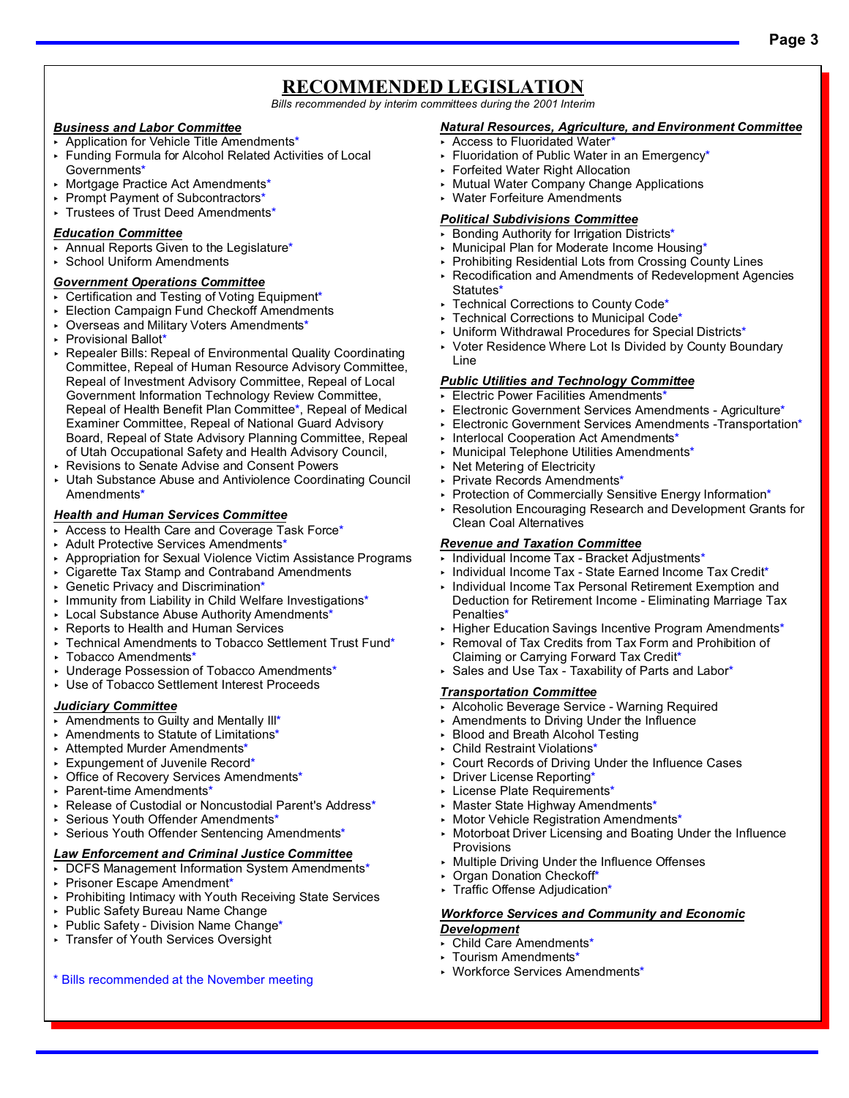### **RECOMMENDED LEGISLATION**

*Bills recommended by interim committees during the 2001 Interim*

### *Business and Labor Committee*

- ▶ Application for Vehicle Title Amendments\*
- < Funding Formula for Alcohol Related Activities of Local Governments\*
- < Mortgage Practice Act Amendments\*
- ▶ Prompt Payment of Subcontractors\*
- < Trustees of Trust Deed Amendments\*

#### *Education Committee*

- < Annual Reports Given to the Legislature\*
- < School Uniform Amendments

#### *Government Operations Committee*

- ▶ Certification and Testing of Voting Equipment\*
- **Election Campaign Fund Checkoff Amendments**
- < Overseas and Military Voters Amendments\*
- < Provisional Ballot\*
- < Repealer Bills: Repeal of Environmental Quality Coordinating Committee, Repeal of Human Resource Advisory Committee, Repeal of Investment Advisory Committee, Repeal of Local Government Information Technology Review Committee, Repeal of Health Benefit Plan Committee\*, Repeal of Medical Examiner Committee, Repeal of National Guard Advisory Board, Repeal of State Advisory Planning Committee, Repeal of Utah Occupational Safety and Health Advisory Council,
- < Revisions to Senate Advise and Consent Powers
- < Utah Substance Abuse and Antiviolence Coordinating Council Amendments\*

### *Health and Human Services Committee*

- ▶ Access to Health Care and Coverage Task Force\*
- < Adult Protective Services Amendments\*
- < Appropriation for Sexual Violence Victim Assistance Programs
- < Cigarette Tax Stamp and Contraband Amendments
- ► Genetic Privacy and Discrimination\*
- **Immunity from Liability in Child Welfare Investigations\***
- ▶ Local Substance Abuse Authority Amendments\*
- ▶ Reports to Health and Human Services
- ▸ Technical Amendments to Tobacco Settlement Trust Fund\*
- ► Tobacco Amendments\*
- < Underage Possession of Tobacco Amendments\*
- < Use of Tobacco Settlement Interest Proceeds

### *Judiciary Committee*

- Amendments to Guilty and Mentally  $III^*$
- ▶ Amendments to Statute of Limitations<sup>\*</sup>
- < Attempted Murder Amendments\*
- < Expungement of Juvenile Record\*
- ▶ Office of Recovery Services Amendments\*
- < Parent-time Amendments\*
- ▶ Release of Custodial or Noncustodial Parent's Address\*
- < Serious Youth Offender Amendments\*
- ► Serious Youth Offender Sentencing Amendments\*

### *Law Enforcement and Criminal Justice Committee*

- DCFS Management Information System Amendments\*
- < Prisoner Escape Amendment\*
- ▸ Prohibiting Intimacy with Youth Receiving State Services
- < Public Safety Bureau Name Change
- ▶ Public Safety Division Name Change\*
- < Transfer of Youth Services Oversight

\* Bills recommended at the November meeting

#### *Natural Resources, Agriculture, and Environment Committee*

- ▸ Access to Fluoridated Water\*
- ► Fluoridation of Public Water in an Emergency\*
- < Forfeited Water Right Allocation
- < Mutual Water Company Change Applications
- < Water Forfeiture Amendments

#### *Political Subdivisions Committee*

- ▸ Bonding Authority for Irrigation Districts<sup>\*</sup>
- < Municipal Plan for Moderate Income Housing\*
- ▶ Prohibiting Residential Lots from Crossing County Lines
- < Recodification and Amendments of Redevelopment Agencies Statutes\*
- ▶ Technical Corrections to County Code<sup>\*</sup>
- ▶ Technical Corrections to Municipal Code\*
- ▶ Uniform Withdrawal Procedures for Special Districts\*
- < Voter Residence Where Lot Is Divided by County Boundary Line

### *Public Utilities and Technology Committee*

- **Electric Power Facilities Amendments**\*
- **Electronic Government Services Amendments Agriculture\***
- < Electronic Government Services Amendments -Transportation\*
- < Interlocal Cooperation Act Amendments\*
- ▶ Municipal Telephone Utilities Amendments\*
- < Net Metering of Electricity
- < Private Records Amendments\*
- ▶ Protection of Commercially Sensitive Energy Information\*
- < Resolution Encouraging Research and Development Grants for Clean Coal Alternatives

#### *Revenue and Taxation Committee*

- < Individual Income Tax Bracket Adjustments\*
- < Individual Income Tax State Earned Income Tax Credit\*
- < Individual Income Tax Personal Retirement Exemption and Deduction for Retirement Income - Eliminating Marriage Tax Penalties\*
- ► Higher Education Savings Incentive Program Amendments\*
- < Removal of Tax Credits from Tax Form and Prohibition of Claiming or Carrying Forward Tax Credit\*
- ▶ Sales and Use Tax Taxability of Parts and Labor\*

### *Transportation Committee*

- < Alcoholic Beverage Service Warning Required
- < Amendments to Driving Under the Influence
- ► Blood and Breath Alcohol Testing
- < Child Restraint Violations\*
- < Court Records of Driving Under the Influence Cases
- < Driver License Reporting\*
- < License Plate Requirements\*
- < Master State Highway Amendments\*
- **Motor Vehicle Registration Amendments\***
- < Motorboat Driver Licensing and Boating Under the Influence Provisions
- < Multiple Driving Under the Influence Offenses
- < Organ Donation Checkoff\*
- ▶ Traffic Offense Adjudication\*

< Workforce Services Amendments\*

### *Workforce Services and Community and Economic*

- *Development*
- < Child Care Amendments\* < Tourism Amendments\*